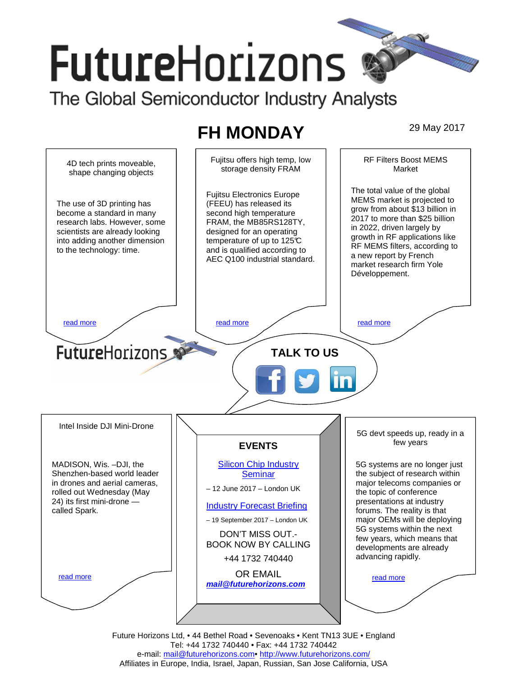# **FutureHorizons**

The Global Semiconductor Industry Analysts

## **FH MONDAY** 29 May 2017



Future Horizons Ltd, • 44 Bethel Road • Sevenoaks • Kent TN13 3UE • England Tel: +44 1732 740440 • Fax: +44 1732 740442 e-mail: mail@futurehorizons.com• http://www.futurehorizons.com/ Affiliates in Europe, India, Israel, Japan, Russian, San Jose California, USA